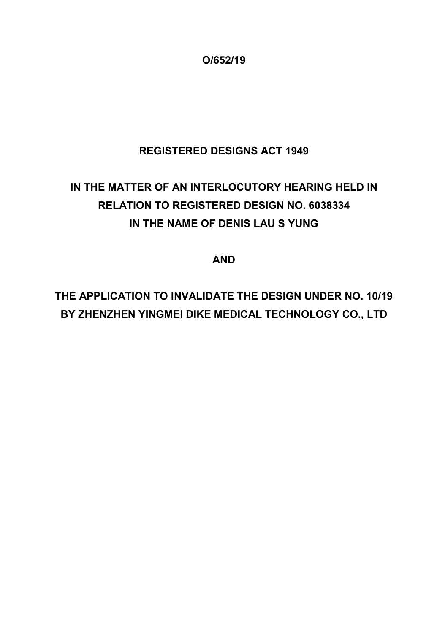**O/652/19**

## **REGISTERED DESIGNS ACT 1949**

# **IN THE MATTER OF AN INTERLOCUTORY HEARING HELD IN RELATION TO REGISTERED DESIGN NO. 6038334 IN THE NAME OF DENIS LAU S YUNG**

**AND**

**THE APPLICATION TO INVALIDATE THE DESIGN UNDER NO. 10/19 BY ZHENZHEN YINGMEI DIKE MEDICAL TECHNOLOGY CO., LTD**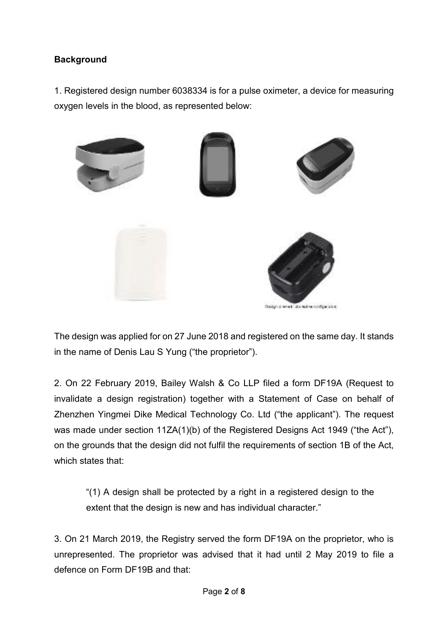#### **Background**

1. Registered design number 6038334 is for a pulse oximeter, a device for measuring oxygen levels in the blood, as represented below:



The design was applied for on 27 June 2018 and registered on the same day. It stands in the name of Denis Lau S Yung ("the proprietor").

2. On 22 February 2019, Bailey Walsh & Co LLP filed a form DF19A (Request to invalidate a design registration) together with a Statement of Case on behalf of Zhenzhen Yingmei Dike Medical Technology Co. Ltd ("the applicant"). The request was made under section 11ZA(1)(b) of the Registered Designs Act 1949 ("the Act"), on the grounds that the design did not fulfil the requirements of section 1B of the Act, which states that:

"(1) A design shall be protected by a right in a registered design to the extent that the design is new and has individual character."

3. On 21 March 2019, the Registry served the form DF19A on the proprietor, who is unrepresented. The proprietor was advised that it had until 2 May 2019 to file a defence on Form DF19B and that: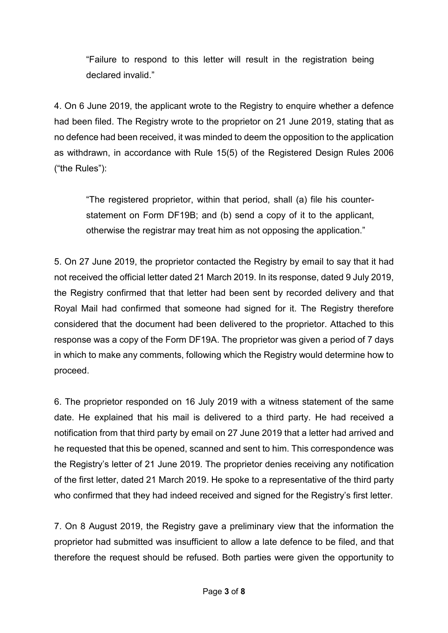"Failure to respond to this letter will result in the registration being declared invalid."

4. On 6 June 2019, the applicant wrote to the Registry to enquire whether a defence had been filed. The Registry wrote to the proprietor on 21 June 2019, stating that as no defence had been received, it was minded to deem the opposition to the application as withdrawn, in accordance with Rule 15(5) of the Registered Design Rules 2006 ("the Rules"):

"The registered proprietor, within that period, shall (a) file his counterstatement on Form DF19B; and (b) send a copy of it to the applicant, otherwise the registrar may treat him as not opposing the application."

5. On 27 June 2019, the proprietor contacted the Registry by email to say that it had not received the official letter dated 21 March 2019. In its response, dated 9 July 2019, the Registry confirmed that that letter had been sent by recorded delivery and that Royal Mail had confirmed that someone had signed for it. The Registry therefore considered that the document had been delivered to the proprietor. Attached to this response was a copy of the Form DF19A. The proprietor was given a period of 7 days in which to make any comments, following which the Registry would determine how to proceed.

6. The proprietor responded on 16 July 2019 with a witness statement of the same date. He explained that his mail is delivered to a third party. He had received a notification from that third party by email on 27 June 2019 that a letter had arrived and he requested that this be opened, scanned and sent to him. This correspondence was the Registry's letter of 21 June 2019. The proprietor denies receiving any notification of the first letter, dated 21 March 2019. He spoke to a representative of the third party who confirmed that they had indeed received and signed for the Registry's first letter.

7. On 8 August 2019, the Registry gave a preliminary view that the information the proprietor had submitted was insufficient to allow a late defence to be filed, and that therefore the request should be refused. Both parties were given the opportunity to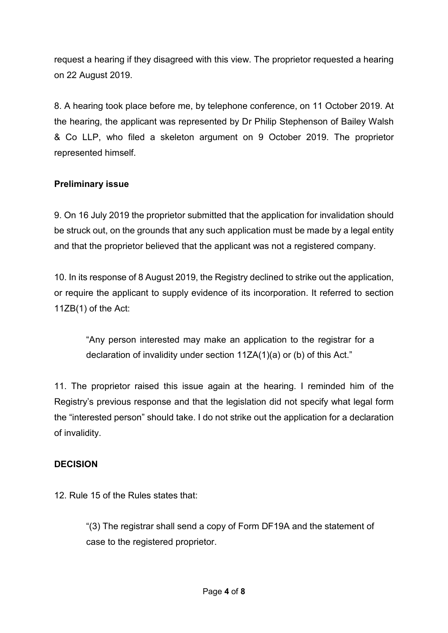request a hearing if they disagreed with this view. The proprietor requested a hearing on 22 August 2019.

8. A hearing took place before me, by telephone conference, on 11 October 2019. At the hearing, the applicant was represented by Dr Philip Stephenson of Bailey Walsh & Co LLP, who filed a skeleton argument on 9 October 2019. The proprietor represented himself.

### **Preliminary issue**

9. On 16 July 2019 the proprietor submitted that the application for invalidation should be struck out, on the grounds that any such application must be made by a legal entity and that the proprietor believed that the applicant was not a registered company.

10. In its response of 8 August 2019, the Registry declined to strike out the application, or require the applicant to supply evidence of its incorporation. It referred to section 11ZB(1) of the Act:

"Any person interested may make an application to the registrar for a declaration of invalidity under section 11ZA(1)(a) or (b) of this Act."

11. The proprietor raised this issue again at the hearing. I reminded him of the Registry's previous response and that the legislation did not specify what legal form the "interested person" should take. I do not strike out the application for a declaration of invalidity.

#### **DECISION**

12. Rule 15 of the Rules states that:

"(3) The registrar shall send a copy of Form DF19A and the statement of case to the registered proprietor.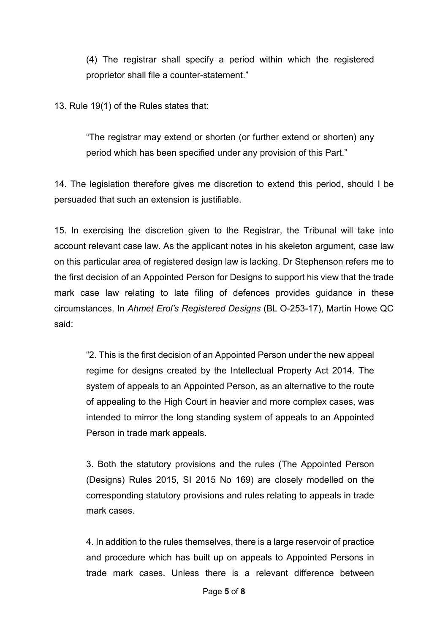(4) The registrar shall specify a period within which the registered proprietor shall file a counter-statement."

13. Rule 19(1) of the Rules states that:

"The registrar may extend or shorten (or further extend or shorten) any period which has been specified under any provision of this Part."

14. The legislation therefore gives me discretion to extend this period, should I be persuaded that such an extension is justifiable.

15. In exercising the discretion given to the Registrar, the Tribunal will take into account relevant case law. As the applicant notes in his skeleton argument, case law on this particular area of registered design law is lacking. Dr Stephenson refers me to the first decision of an Appointed Person for Designs to support his view that the trade mark case law relating to late filing of defences provides guidance in these circumstances. In *Ahmet Erol's Registered Designs* (BL O-253-17), Martin Howe QC said:

"2. This is the first decision of an Appointed Person under the new appeal regime for designs created by the Intellectual Property Act 2014. The system of appeals to an Appointed Person, as an alternative to the route of appealing to the High Court in heavier and more complex cases, was intended to mirror the long standing system of appeals to an Appointed Person in trade mark appeals.

3. Both the statutory provisions and the rules (The Appointed Person (Designs) Rules 2015, SI 2015 No 169) are closely modelled on the corresponding statutory provisions and rules relating to appeals in trade mark cases.

4. In addition to the rules themselves, there is a large reservoir of practice and procedure which has built up on appeals to Appointed Persons in trade mark cases. Unless there is a relevant difference between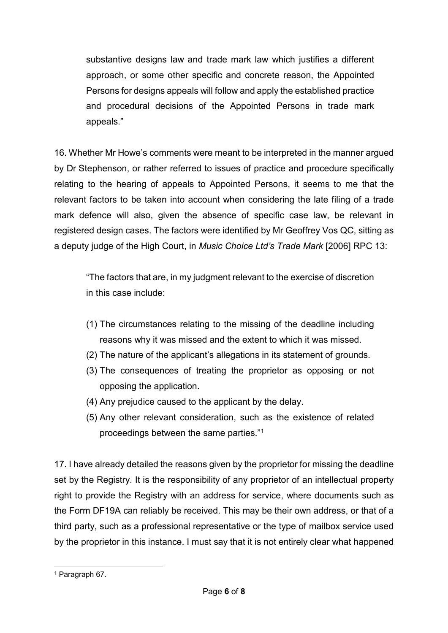substantive designs law and trade mark law which justifies a different approach, or some other specific and concrete reason, the Appointed Persons for designs appeals will follow and apply the established practice and procedural decisions of the Appointed Persons in trade mark appeals."

16. Whether Mr Howe's comments were meant to be interpreted in the manner argued by Dr Stephenson, or rather referred to issues of practice and procedure specifically relating to the hearing of appeals to Appointed Persons, it seems to me that the relevant factors to be taken into account when considering the late filing of a trade mark defence will also, given the absence of specific case law, be relevant in registered design cases. The factors were identified by Mr Geoffrey Vos QC, sitting as a deputy judge of the High Court, in *Music Choice Ltd's Trade Mark* [2006] RPC 13:

"The factors that are, in my judgment relevant to the exercise of discretion in this case include:

- (1) The circumstances relating to the missing of the deadline including reasons why it was missed and the extent to which it was missed.
- (2) The nature of the applicant's allegations in its statement of grounds.
- (3) The consequences of treating the proprietor as opposing or not opposing the application.
- (4) Any prejudice caused to the applicant by the delay.
- (5) Any other relevant consideration, such as the existence of related proceedings between the same parties."[1](#page-5-0)

17. I have already detailed the reasons given by the proprietor for missing the deadline set by the Registry. It is the responsibility of any proprietor of an intellectual property right to provide the Registry with an address for service, where documents such as the Form DF19A can reliably be received. This may be their own address, or that of a third party, such as a professional representative or the type of mailbox service used by the proprietor in this instance. I must say that it is not entirely clear what happened

<span id="page-5-0"></span> $\overline{a}$ <sup>1</sup> Paragraph 67.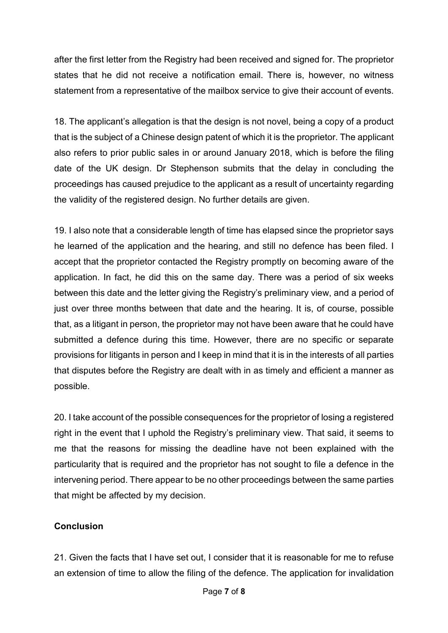after the first letter from the Registry had been received and signed for. The proprietor states that he did not receive a notification email. There is, however, no witness statement from a representative of the mailbox service to give their account of events.

18. The applicant's allegation is that the design is not novel, being a copy of a product that is the subject of a Chinese design patent of which it is the proprietor. The applicant also refers to prior public sales in or around January 2018, which is before the filing date of the UK design. Dr Stephenson submits that the delay in concluding the proceedings has caused prejudice to the applicant as a result of uncertainty regarding the validity of the registered design. No further details are given.

19. I also note that a considerable length of time has elapsed since the proprietor says he learned of the application and the hearing, and still no defence has been filed. I accept that the proprietor contacted the Registry promptly on becoming aware of the application. In fact, he did this on the same day. There was a period of six weeks between this date and the letter giving the Registry's preliminary view, and a period of just over three months between that date and the hearing. It is, of course, possible that, as a litigant in person, the proprietor may not have been aware that he could have submitted a defence during this time. However, there are no specific or separate provisions for litigants in person and I keep in mind that it is in the interests of all parties that disputes before the Registry are dealt with in as timely and efficient a manner as possible.

20. I take account of the possible consequences for the proprietor of losing a registered right in the event that I uphold the Registry's preliminary view. That said, it seems to me that the reasons for missing the deadline have not been explained with the particularity that is required and the proprietor has not sought to file a defence in the intervening period. There appear to be no other proceedings between the same parties that might be affected by my decision.

#### **Conclusion**

21. Given the facts that I have set out, I consider that it is reasonable for me to refuse an extension of time to allow the filing of the defence. The application for invalidation